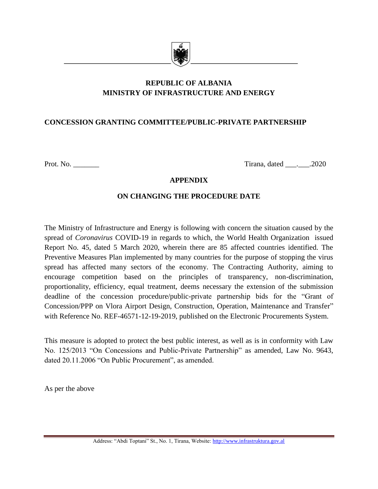

# **REPUBLIC OF ALBANIA MINISTRY OF INFRASTRUCTURE AND ENERGY**

## **CONCESSION GRANTING COMMITTEE/PUBLIC-PRIVATE PARTNERSHIP**

Prot. No. \_\_\_\_\_\_\_ Tirana, dated \_\_\_.\_\_\_.2020

### **APPENDIX**

## **ON CHANGING THE PROCEDURE DATE**

The Ministry of Infrastructure and Energy is following with concern the situation caused by the spread of *Coronavirus* COVID-19 in regards to which, the World Health Organization issued Report No. 45, dated 5 March 2020, wherein there are 85 affected countries identified. The Preventive Measures Plan implemented by many countries for the purpose of stopping the virus spread has affected many sectors of the economy. The Contracting Authority, aiming to encourage competition based on the principles of transparency, non-discrimination, proportionality, efficiency, equal treatment, deems necessary the extension of the submission deadline of the concession procedure/public-private partnership bids for the "Grant of Concession/PPP on Vlora Airport Design, Construction, Operation, Maintenance and Transfer" with Reference No. REF-46571-12-19-2019, published on the Electronic Procurements System.

This measure is adopted to protect the best public interest, as well as is in conformity with Law No. 125/2013 "On Concessions and Public-Private Partnership" as amended, Law No. 9643, dated 20.11.2006 "On Public Procurement", as amended.

As per the above